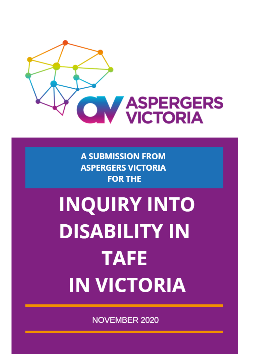

**A SUBMISSION FROM ASPERGERS VICTORIA FOR THE** 

# **INQUIRY INTO DISABILITY IN TAFE IN VICTORIA**

**NOVEMBER 2020**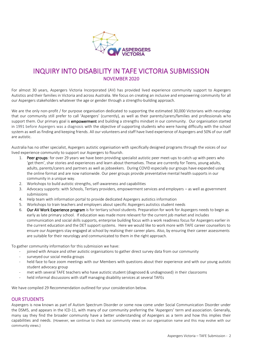

# INQUIRY INTO DISABILITY IN TAFE VICTORIA SUBMISSION NOVEMBER 2020

For almost 30 years, Aspergers Victoria Incorporated (AV) has provided lived experience community support to Aspergers Autistics and their families in Victoria and across Australia. We focus on creating an inclusive and empowering community for all our Aspergers stakeholders whatever the age or gender through a strengths-building approach.

We are the only non-profit / for purpose organisation dedicated to supporting the estimated 30,000 Victorians with neurology that our community still prefer to call 'Aspergers' (currently), as well as their parents/carers/families and professionals who support them. Our primary goal is empowerment and building a strengths mindset in our community. Our organisation started in 1991 before Aspergers was a diagnosis with the objective of supporting students who were having difficulty with the school system as well as finding and keeping friends. All our volunteers and staff have lived experience of Aspergers and 50% of our staff are autistic.

Australia has no other specialist, Aspergers autistic organisation with specifically designed programs through the voices of our lived experience community to support our Aspergers to flourish.

- 1. Peer groups: for over 29 years we have been providing specialist autistic peer meet-ups to catch up with peers who 'get them', shar stories and experiences and learn about themselves. These are currently for Teens, young adults, adults, parents/carers and partners as well as jobseekers. During COVID especially our groups have expanded using the online format and are now nationwide. Our peer groups provide preventative mental health supports in our community in a unique way.
- 2. Workshops to build autistic strengths, self-awareness and capabilities
- 3. Advocacy supports: with Schools, Tertiary providers, empowerment services and employers as well as government submissions
- 4. Help team with information portal to provide dedicated Aspergers autistics information
- 5. Workshops to train teachers and employers about specific Aspergers autistics student needs
- 6. Our AV Work Experience program is for tertiary school students. Preparation for work for Aspergers needs to begin as early as late primary school. If education was made more relevant for the current job market and includes communication and social skills supports, enterprise building focus with a work readiness focus for Aspergers earlier in the current education and the DET support systems. Here we would like to work more with TAFE career counsellors to ensure our Aspergers stay engaged at school by realising their career plans. Also, by ensuring their career assessments are suitable for their neurology and communicated to them in the right approach.

To gather community information for this submission we have:

- joined with Amaze and other autistic organisations to gather direct survey data from our community
- surveyed our social media groups
- held face to face zoom meetings with our Members with questions about their experience and with our young autistic student advocacy group
- met with several TAFE teachers who have autistic student (diagnosed & undiagnosed) in their classrooms
- held informal discussions with staff managing disability services at several TAFEs

We have compiled 29 Recommendation outlined for your consideration below.

#### OUR STUDENTS

Aspergers is now known as part of Autism Spectrum Disorder or some now come under Social Communication Disorder under the DSM5, and appears in the ICD-11, with many of our community preferring the 'Aspergers' term and association. Generally, many say they find the broader community have a better understanding of Aspergers as a term and how this implies their capabilities and needs. (However, we continue to check our community views on our organisation name and this may evolve with our community views.)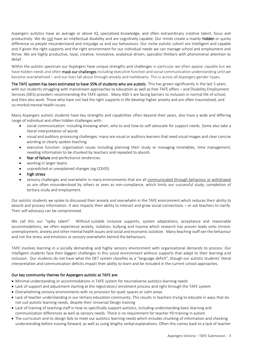Aspergers autistics have an average or above IQ, specialised knowledge, and often extraordinary creative talent, focus and productivity. We do not have an intellectual disability and are cognitively capable. Our minds create a mainly hidden or quirky difference so people misunderstand and misjudge us and our behaviours. Our niche autistic cohort are intelligent and capable and if given the right supports and the right environment for our individual needs we can manage school and employment and thrive. We are highly productive, loyal, creative, innovative, analytical-driven, specialist thinkers with phenomenal attention to detail

Within the autistic spectrum our Aspergers have unique strengths and challenges in particular we often appear capable but we have hidden needs and often mask our challenges including executive function and social communication understanding until we become overwhelmed – and our lives fall about through anxiety and meltdowns. This is across all Aspergers gender-types.

The TAFE system has been estimated to have 35% of students who are autistic. This has grown significantly in the last 5 years with our students struggling with mainstream approaches to education as well as free TAFE offers – and Disability Employment Services (DES) providers recommending the TAFE option. Many ASD-1 are facing barriers to inclusion in normal life of school, and then also work. Those who have not had the right supports in life develop higher anxiety and are often traumatised, and co-morbid mental health issues.

Many Aspergers autistic students have key strengths and capabilities often beyond their years, also have a wide and differing range of individual and often hidden challenges with:

- social communication: including knowing when, who to and how-to self-advocate for support needs. Some also take a literal interpretation of words
- visual and auditory processing challenges: many are visual or auditory learners that need visual images and clear concise wording or clearly spoken teaching
- executive function: organisation issues including planning their study or managing timetables, time management, needing information to be chunked by teachers and repeated to absorb
- fear of failure and perfectionist tendencies
- working in larger teams
- unpredicted or unexplained changes (eg COVID)
- high stress
- sensory challenges and overwhelm in many environments that are all communicated through behaviour or withdrawal so are often misunderstood by others or seen as non-compliance, which limits our successful study, completion of tertiary study and employment.

Our autistic students we spoke to discussed their anxiety and overwhelm in the TAFE environment which reduces their ability to absorb and process information. It also impacts their ability to interact and grow social connections – or ask teachers to clarify. Their self advocacy can be compromised.

We call this our "spiky talent". Without suitable inclusive supports, system adaptations, acceptance and reasonable accommodations, we often experience anxiety, isolation, bullying and trauma which research has proven leads onto chronic unemployment, anxiety and other mental health issues and social and economic isolation. Many teaching staff see the behaviour and not the stress and emotions or sensory overwhelm behind the behaviours.

TAFE involves learning in a socially demanding and highly sensory environment with organisational demands to process. Our intelligent students face their biggest challenges in this social environment without supports that adapt to their learning and inclusion. Our students do not have what the DET system classifies as a "language deficit", though our autistic students' literal interpretation and communication deficits impact their ability to learn and be included in the current school approaches.

#### Our key community themes for Aspergers autistic at TAFE are:

- Minimal understanding or accommodations in TAFE system for neurodiverse autistics learning needs
- Lack of support and adjustment starting at the registration/ enrolment process and right through the TAFE system
- Overwhelming sensory environments with no provision for quiet spaces or calm areas
- Lack of teacher understanding in our tertiary education community. This results in teachers trying to educate in ways that do not suit autistic learning needs, despite their Universal Design training
- Lack of training of teaching staff in how to specifically support autistics, including understanding basic learning and communication differences as well as sensory needs. There is no requirement for teacher PD training in autism
- The curriculum and its design fails to meet our autistics learning needs which includes chunking of information and checking understanding before moving forward, as well as using lengthy verbal explanations. Often this comes back to a lack of teacher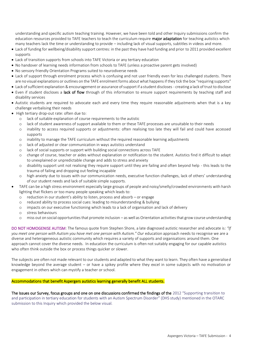understanding and specific autism teaching training. However, we have been told and other Inquiry submissions confirm the education resources provided to TAFE teachers to teach the curriculum require major adaptation for teaching autistics which many teachers lack the time or understanding to provide – including lack of visual supports, subtitles in videos and more.

- Lack of funding for wellbeing/disability support centres: in the past they have had funding and prior to 2011 provided excellent supports
- Lack of transition supports from schools into TAFE Victoria or any tertiary education
- No handover of learning needs information from schools to TAFE (unless a proactive parent gets involved)
- No sensory friendly Orientation Programs suited to neurodiverse needs
- Lack of support through enrolment process which is confusing and not user friendly even for less challenged students. There are no visual explanations or outlines on the TAFE enrolment forms about what happens if they tick the box "requiring supports"
- Lack of sufficient explanation & encouragement or assurance of support if a student discloses creating a lack of trust to disclose
- Even if student discloses a lack of flow through of this information to ensure support requirements by teaching staff and disability services
- Autistic students are required to advocate each and every time they require reasonable adjustments when that is a key challenge verbalising their needs
- High tertiary drop-out rate: often due to:
	- o lack of suitable explanation of course requirements to the autistic
	- o lack of student awareness of support available to them or these TAFE processes are unsuitable to their needs
	- o inability to access required supports or adjustments: often realising too late they will fail and could have accessed supports
	- o inability to manage the TAFE curriculum without the required reasonable learning adjustments
	- o lack of adjusted or clear communication in ways autistics understand
	- o lack of social supports or support with building social connections across TAFE
	- o change of course, teacher or aides without explanation or notification to the student. Autistics find it difficult to adapt to unexplained or unpredictable change and adds to stress and anxiety
	- o disability support unit not realising they require support until they are failing and often beyond help this leads to the trauma of failing and dropping out feeling incapable
	- o high anxiety due to issues with our communication needs, executive function challenges, lack of others' understanding of our student needs and lack of suitable simple supports.
- TAFE can be a high stress environment especially large groups of people and noisy/smelly/crowded environments with harsh lighting that flickers or too many people speaking which leads to:
	- o reduction in our student's ability to listen, process and absorb or engage
	- o reduced ability to process social cues: leading to misunderstanding & bullying
	- o impacts on our executive functioning which leads to a lack of organisation and lack of delivery
	- o stress behaviours
	- o miss out on social opportunities that promote inclusion as well as Orientation activities that grow course understanding

DO NOT HOMOGENISE AUTISM: The famous quote from Stephen Shore, a late diagnosed autistic researcher and advocate is*: "If*  you meet one person with Autism you have met one person with Autism." Our education approach needs to recognise we are a diverse and heterogeneous autistic community which requires a variety of supports and organisations around them. One approach cannot cover the diverse needs. In education the curriculum is often not suitably engaging for our capable autistics who often think outside the box or process things quicker or slower.

The subjects are often not made relevant to our students and adapted to what they want to learn. They often have a generalised knowledge beyond the average student – or have a spikey profile where they excel in some subjects with no motivation or engagement in others which can mystify a teacher or school.

#### Accommodations that benefit Aspergers autistics learning generally benefit ALL students.

The Issues our Survey, focus groups and one on one discussions confirmed the findings of the 2012 "Supporting transition to and participation in tertiary education for students with an Autism Spectrum Disorder" (DHS study) mentioned in the OTARC submission to this Inquiry which provided the below visual.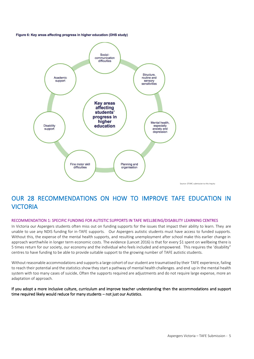Figure 6: Key areas affecting progress in higher education (DHS study)



# OUR 28 RECOMMENDATIONS ON HOW TO IMPROVE TAFE EDUCATION IN VICTORIA

#### RECOMMENDATION 1: SPECIFIC FUNDING FOR AUTISTIC SUPPORTS IN TAFE WELLBEING/DISABILITY LEARNING CENTRES

In Victoria our Aspergers students often miss out on funding supports for the issues that impact their ability to learn. They are unable to use any NDIS funding for in-TAFE supports. Our Aspergers autistic students must have access to funded supports. Without this, the expense of the mental health supports, and resulting unemployment after school make this earlier change in approach worthwhile in longer term economic costs. The evidence (Lancet 2016) is that for every \$1 spent on wellbeing there is 5 times return for our society, our economy and the individual who feels included and empowered. This requires the 'disability" centres to have funding to be able to provide suitable support to the growing number of TAFE autistic students.

Without reasonable accommodations and supports a large cohort of our student are traumatised by their TAFE experience, failing to reach their potential and the statistics show they start a pathway of mental health challenges. and end up in the mental health system with too many cases of suicide. Often the supports required are adjustments and do not require large expense, more an adaptation of approach.

#### If you adopt a more inclusive culture, curriculum and improve teacher understanding then the accommodations and support time required likely would reduce for many students – not just our Autistics.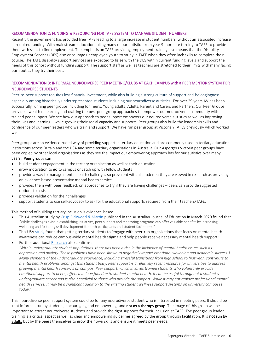#### RECOMMENDATION 2: FUNDING & RESOURCING FOR TAFE SYSTEM TO MANAGE STUDENT NUMBERS

Recently the government has provided free TAFE leading to a large increase in student numbers, without an associated increase in required funding. With mainstream education failing many of our autistics from year 9 more are turning to TAFE to provide them with skills to find employment. The emphasis on TAFE providing employment training also means that the Disability Employment Services (DES) also encourage unemployed youth to study in TAFE when they often lack skills to complete their course. The TAFE disability support services are expected to liaise with the DES within current funding levels and support the needs of this cohort without funding support. The support staff as well as teachers are stretched to their limits with many facing burn out as they try their best.

#### RECOMMENDATION 3: INFORMAL NEURODIVERSE PEER MEETING/CLUBS AT EACH CAMPUS with a PEER MENTOR SYSTEM FOR NEURODIVERSE STUDENTS

Peer-to-peer support requires less financial investment, while also building a strong culture of support and belongingness, especially among historically underrepresented students including our neurodiverse autistics. For over 29 years AV has been successfully running peer groups including for Teens, Young adults, Adults, Parent and Carers and Partners. Our Peer Groups provide a wealth of learning and crafting the best peer group approaches to empower our neurodiverse community with trained peer support. We see how our approach to peer support empowers our neurodiverse autistics as well as improving their lives and learning – while growing their social capacity and supports. Peer groups also build the leadership skills and confidence of our peer leaders who we train and support. We have run peer group at Victorian TAFES previously which worked well.

Peer groups are an evidence-based way of providing support in tertiary education and are commonly used in tertiary education institutions across Britain and the USA and some tertiary organisations in Australia. Our Aspergers Victoria peer groups have been copied by other local organisations as they see the impact our empowering approach has for our autistics over many years. Peer groups can :

- build student engagement in the tertiary organisation as well as their education
- grow motivation to go to campus or catch up with fellow students
- provide a way to manage mental health challenges so prevalent with all students: they are viewed in research as providing an evidence-based preventative mental health service
- provides them with peer feedback on approaches to try if they are having challenges peers can provide suggested options to assist
- provides validation for their challenges
- support students to use self-advocacy to ask for the educational supports required from their teachers/TAFE.

This method of building tertiary inclusion is evidence-based:

- This Australian study b[y Crisp Rickwood &](https://journals.sagepub.com/doi/abs/10.1177/0004944120910498) Martin published in the Australian Journal of Education in March 2020 found that "While challenges exist in establishing initiatives, peer support and mentoring programs can offer valuable benefits by increasing wellbeing and fostering skill development for both participants and student facilitators."
- This USA [study](https://www.peersupportsolutions.com/pssblog/peer-support-and-college-students) found that getting tertiary students to 'engage with peer-run organizations that focus on mental health awareness can reduce campus-wide mental health stigma and help people receive necessary mental health support.'
- Further additional [Research](https://www.researchgate.net/publication/297700199_University_campus_peer_support_centres_Benefits_for_student_emotional_and_mental_well-being) also confirms:

*'Within undergraduate student populations, there has been a rise in the incidence of mental health issues such as depression and anxiety. These problems have been shown to negatively impact emotional wellbeing and academic success.1 Many elements of the undergraduate experience, including stressful transitions from high school to first year, contribute to mental health problems amongst this student body. Peer support is a relatively recent resource for universities to address growing mental health concerns on campus. Peer support, which involves trained students who voluntarily provide emotional support to peers, offers a unique function to student mental health. It can be useful throughout a student's undergraduate career and is also beneficial to those who provide the support. While it may not replace professional mental health services, it may be a significant addition to the existing student wellness support systems on university campuses today.'*

This neurodiverse peer support system could be for any neurodiverse student who is interested in meeting peers. It should be kept informal, run by students, encouraging and empowering- and not as a therapy group. The image of this group will be important to attract neurodiverse students and provide the right supports for their inclusion at TAFE. The peer group leader training is a critical aspect as well as clear and empowering guidelines agreed by the group through facilitation. It is not run by adults but by the peers themselves to grow their own skills and ensure it meets peer needs.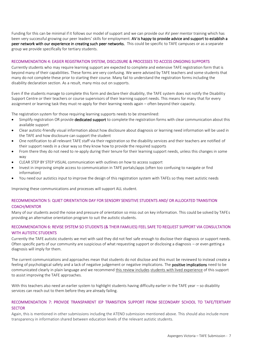Funding for this can be minimal if it follows our model of support and we can provide our AV peer mentor training which has been very successful growing our peer leaders' skills for employment. AV is happy to provide advice and support to establish a peer network with our experience in creating such peer networks. This could be specific to TAFE campuses or as a separate group we provide specifically for tertiary students.

#### RECOMMENDATION 4: EASIER REGISTRATION SYSTEM, DISCLOSURE & PROCESSES TO ACCESS ONGOING SUPPORTS

Currently students who may require learning support are expected to complete and extensive TAFE registration form that is beyond many of their capabilities. These forms are very confusing. We were advised by TAFE teachers and some students that many do not complete these prior to starting their course. Many fail to understand the registration forms including the disability declaration section. As a result, many miss out on supports.

Even if the students manage to complete this form and declare their disability, the TAFE system does not notify the Disability Support Centre or their teachers or course supervisors of their learning support needs. This means for many that for every assignment or learning task they must re-apply for their learning needs again – often beyond their capacity.

The registration system for those requiring learning supports needs to be streamlined:

- Simplify registration OR provide **dedicated support** to complete the registration forms with clear communication about this available support
- Clear autistic-friendly visual information about how disclosure about diagnosis or learning need information will be used in the TAFE and how disclosure can support the student
- One notification to all relevant TAFE staff via their registration so the disability services and their teachers are notified of their support needs in a clear way so they know how to provide the required supports
- From there they do not need to re-apply during their tenure for their learning support needs, unless this changes in some way
- CLEAR STEP BY STEP VISUAL communication with outlines on how to access support
- Invest in improving simple access to communication in TAFE portals/apps (often too confusing to navigate or find information)
- You need our autistics input to improve the design of this registration system with TAFEs so they meet autistic needs

Improving these communications and processes will support ALL student.

#### RECOMMENDATION 5: QUIET ORIENTATION DAY FOR SENSORY SENSITIVE STUDENTS AND/ OR ALLOCATED TRANSITION COACH/MENTOR

Many of our students avoid the noise and pressure of orientation so miss out on key information. This could be solved by TAFEs providing an alternative orientation program to suit the autistic students.

#### RECOMMENDATION 6: REVISE SYSTEM SO STUDENTS (& THEIR FAMILIES) FEEL SAFE TO REQUEST SUPPORT VIA CONSULTATION WITH AUTISTIC STUDENTS

Currently the TAFE autistic students we met with said they did not feel safe enough to disclose their diagnosis or support needs. Often specific parts of our community are suspicious of what requesting support or disclosing a diagnosis – or even getting a diagnosis will imply for them.

The current communications and approaches mean that students do not disclose and this must be reviewed to instead create a feeling of psychological safety and a lack of negative judgement or negative implications. The positive implications need to be communicated clearly in plain language and we recommend this review includes students with lived experience of this support to assist improving the TAFE approaches.

With this teachers also need an earlier system to highlight students having difficulty earlier in the TAFE year – so disability services can reach out to them before they are already failing.

#### RECOMMENDATION 7: PROVIDE TRANSPARENT IEP TRANSITION SUPPORT FROM SECONDARY SCHOOL TO TAFE/TERTIARY **SECTOR**

Again, this is mentioned in other submissions including the ATEND submission mentioned above. This should also include more transparency in information shared between education levels of the relevant autistic students.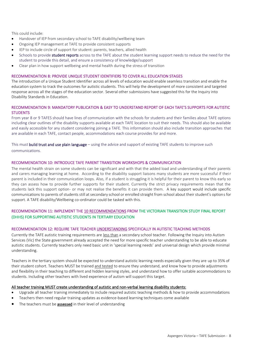This could include:

- Handover of IEP from secondary school to TAFE disability/wellbeing team
- Ongoing IEP management at TAFE to provide consistent supports
- IEP to include circle of support for student: parents, teachers, allied health
- Schools to provide student reports across to the TAFE about the student learning support needs to reduce the need for the student to provide this detail, and ensure a consistency of knowledge/support
- Clear plan in how support wellbeing and mental health during the stress of transition

#### RECOMMENDATION 8: PROVIDE UNIQUE STUDENT IDENTIFIERS TO COVER ALL EDUCATION STAGES

The introduction of a Unique Student Identifier across all levels of education would enable seamless transition and enable the education system to track the outcomes for autistic students. This will help the development of more consistent and targeted response across all the stages of the education sector. Several other submissions have suggested this for the Inquiry into Disability Standards in Education.

#### RECOMMENDATION 9: MANDATORY PUBLICATION & EASY TO UNDERSTAND REPORT OF EACH TAFE'S SUPPORTS FOR AUTISTIC **STUDENTS**

From year 8 or 9 TAFES should have lines of communication with the schools for students and their families about TAFE options including clear outlines of the disability supports available at each TAFE location to suit their needs. This should also be available and easily accessible for any student considering joining a TAFE. This information should also include transition approaches that are available in each TAFE, contact people, accommodations each course provides for and more.

This must build trust and use plain language – using the advice and support of existing TAFE students to improve such communications.

#### RECOMMENDATION 10: INTRODUCE TAFE PARENT TRANSITION WORKSHOPS & COMMUNICATION

The mental health strain on some students can be significant and with that the added load and understanding of their parents and carers managing learning at home. According to the disability support liaisons many students are more successful if their parent is included in their communication loops. Also, if a student is struggling it is helpful for their parent to know this early so they can assess how to provide further supports for their student. Currently the strict privacy requirements mean that the students lack this support option- or may not realise the benefits it can provide them. A key support would include specific communications to parents of students still at secondary school or enrolled straight from school about their student's options for support. A TAFE disability/Wellbeing co-ordinator could be tasked with this.

#### RECOMMENDATION 11: IMPLEMENT THE 10 RECOMMENDATIONS FROM THE VICTORIAN TRANSITION STUDY FINAL REPORT (DHHS) FOR SUPPORTING AUTISTIC STUDENTS IN TERTIARY EDUCATION

#### RECOMMENDATION 12: REQUIRE TAFE TEACHER UNDERSTANDING SPECIFICALLY IN AUTISTIC TEACHING METHODS

Currently the TAFE autistic training requirements are less than a secondary school teacher. Following the Inquiry into Autism Services (Vic) the State government already accepted the need for more specific teacher understanding to be able to educate autistic students. Currently teachers only need basic unit in 'special learning needs' and universal design which provide minimal understanding.

Teachers in the tertiary system should be expected to understand autistic learning needs especially given they are up to 35% of their student cohort. Teachers MUST be trained and tested to ensure they understand, and know how to provide adjustments and flexibility in their teaching to different and hidden learning styles, and understand how to offer suitable accommodations to students. Including other teachers with lived experience of autism will support this target.

#### All teacher training MUST create understanding of autistic and non-verbal learning disability students:

- Upgrade all teacher training immediately to include required autistic teaching methods & how to provide accommodations
- Teachers then need regular training updates as evidence-based learning techniques come available
- The teachers must be assessed in their level of understanding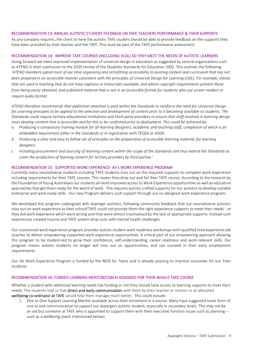#### RECOMMENDATION 13: ANNUAL AUTISTIC STUDENT FEEDBACK ON TAFE TEACHERS PERFORMANCE & THEIR SUPPORTS

As any company requires, the client or here the autistic TAFE student should be able to provide feedback on the supports they have been provided by their teacher and the TAFE. This must be part of the TAFE performance assessment.

#### RECOMMENDATION 14: IMPROVE TAFE COURSES (iNCLUDING VCAL) SO THEY MEET THE NEEDS OF AUTISTIC LEARNERS

Going forward we need improved implementation of universal design in education as suggested by several organisations such as ATEND in their submission to the 2020 review of the Disability Standards for Education 2005. This outlines the following: *'ATEND members spend most of our time organising and retrofitting accessibility to existing content and curriculum that has not been prepared in an accessible manner consistent with the principles of Universal Design for Learning (UDL). For example, videos that are used in teaching that do not have captions or transcripts available, and where copyright requirements prevent these from being easily obtained, and published material that is not in an accessible format for students who use screen readers or require audio format.*

*ATEND therefore recommends that additional attention is paid within the Standards to reinforce the need for Universal Design for Learning principles to be applied to the selection and development of content prior to it becoming available to students. The Standards could require tertiary educational institutions and third-party providers to ensure that staff involved in learning design must develop content that is accessible and for this to be confirmed prior to deployment. This could be achieved by:*

- *a. Producing a compulsory training module for all learning designers, academic and teaching staff, completion of which is an embedded requirement either in the Standards or in registration with TEQSA or ASQA.*
- *b. Producing a clear and easy to follow set of principles on the preparation of accessible learning material, for learning designers.*
- *c. Including procurement and sourcing of learning content within the scope of the Standards and thus extend the Standards to cover the production of learning content for tertiary providers by third parties.'*

#### RECOMMENDATION 15: SUPPORTED WORK EXPERIENCE- AV's WORK EXPERIENCE PROGRAM

Currently many neurodiverse students including TAFE students miss out on the required supports to complete work experience including requirements for their TAFE courses. This means they drop out and fail their TAFE course. According to the research by the Foundation of Young Australians our students all need improved access to Work Experience opportunities as well as education approaches that get them ready for the world of work. This requires autistic crafted supports for our autistics to develop suitable enterprise and work ready skills. Our new Program delivers such support through our co-designed work experience program.

We developed this program codesigned with Asperger autistics, following community feedback that our neurodiverse autistics miss out on work experience as their school/TAFE could not provide them the right experience supports to meet their needs - or they did work experience which went wrong and they were almost traumatised by the lack of appropriate supports. Instead such experiences created trauma and TAFE system drop-outs with mental health challenges.

Our customised work experience program provides autistic student work readiness workshops with qualified lived experience job coaches to deliver empowering supported work experience opportunities. A critical part of our empowering approach allowing this program to be student-led to grow their confidence, self-understanding, career readiness and work-relevant skills. Our program means autistic students no longer will miss out on opportunities, and can succeed in their early employment requirements.

Our AV Work Experience Program is funded by the NDIS for Teens and is already proving to improve outcomes for our Teen students.

#### RECOMMENDATION 16: FUNDED LEARNING MENTOR/COACH ASSIGNED FOR THEIR WHOLE TAFE COURSE

Whether a student with additional learning needs has funding or not they should have access to learning supports to meet their needs. The students told us that direct and early communication with them by their teacher or mentor or an allocated wellbeing co-ordinator at TAFE would help them manage much better. This could include:

1. One to One Support Learning Mentor available across their enrolment in a course: Many have suggested some form of one to one communication to support our Aspergers autistic student, especially in secondary levels. This may not be an aid but someone at TAFE who is appointed to support them with their executive function issues such as planning  $$ such as a wellbeing coach (mentioned below)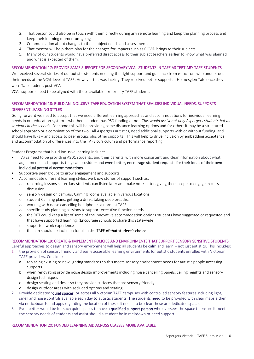- 2. That person could also be in touch with them directly during any remote learning and keep the planning process and keep their learning momentum going
- 3. Communication about changes to their subject needs and assessments
- 4. That mentor will help them plan for the changes for impacts such as COVID brings to their subjects
- 5. Many of our students would have preferred direct access to their subject teachers earlier to know what was planned and what is expected of them.

#### RECOMMENDATION 17: PROVIDE SAME SUPPORT FOR SECONDARY VCAL STUDENTS IN TAFE AS TERTIARY TAFE STUDENTS

We received several stories of our autistic students needing the right support and guidance from educators who understood their needs at the VCAL level at TAFE. However this was lacking. They received better support at Holmesglen Tafe once they were Tafe student, post-VCAL.

VCAL supports need to be aligned with those available for tertiary TAFE students.

#### RECOMMENDATION 18: BUILD AN INCLUSIVE TAFE EDUCATION SYSTEM THAT REALISES INDIVIDUAL NEEDS, SUPPORTS DIFFERENT LEARNING STYLES

Going forward we need to accept that we need different learning approaches and accommodations for individual learning needs in our education system – whether a student has PSD funding or not. *This would assist not only Aspergers students but all students in the schools.* For some this will be providing some distance learning options and for others it may be a structured school approach or a combination of the two. All Aspergers autistics, need additional supports with or without funding, and should have IEPs – and access to peer groups plus other supports. This will help to drive inclusion by embedding acceptance and accommodation of differences into the TAFE curriculum and performance reporting.

Student Programs that build inclusive learning include:

- TAFEs need to be providing ASD1 students, and their parents, with more consistent and clear information about what adjustments and supports they can provide – and even better, encourage student requests for their ideas of their own individual potential accommodations
- Supportive peer groups to grow engagement and supports
	- Accommodate different learning styles: we know stories of support such as:
	- o recording lessons so tertiary students can listen later and make notes after, giving them scope to engage in class discussion
	- o sensory design on campus: Calming rooms available in various locations
	- o student Calming plans: getting a drink, taking deep breaths,
	- o working with noise cancelling headphones a norm at TAFE
	- o specific study planning sessions to support executive function needs
	- o the DET could keep a list of some of the innovative accommodation options students have suggested or requested and that have supported learning. (Encourage schools to share this state-wide)
	- o supported work experience
	- o the aim should be inclusion for all in the TAFE of that student's choice.

#### RECOMMENDATION 19: CREATE & IMPLEMENT POLICIES AND ENVIRONMENTS THAT SUPPORT SENSORY SENSITIVE STUDENTS

Careful approaches to design and sensory environment will help all students be calm and learn – not just autistics. This includes:

- 1. the provision of sensory friendly and easily accessible learning environments for autistic students enrolled with Victorian TAFE providers. Consider:
	- a. replacing existing or new lighting standards so this meets sensory environment needs for autistic people accessing supports
	- b. when renovating provide noise design improvements including noise cancelling panels, ceiling heights and sensory design techniques
	- c. design seating and desks so they provide surfaces that are sensory friendly
	- d. design outdoor areas with secluded options and seating
- 2. Provide dedicated 'quiet spaces' or across all Victorian TAFE campuses with controlled sensory features including light, smell and noise controls available each day to autistic students. The students need to be provided with clear maps either via noticeboards and apps regarding the location of these. It needs to be clear these are dedicated spaces
- 3. Even better would be for such quiet spaces to have a qualified support person who oversees the space to ensure it meets the sensory needs of students and assist should a student be in meltdown or need support.

#### RECOMMENDATION 20: FUNDED LEARNING AID ACROSS CLASSES MORE AVAILABLE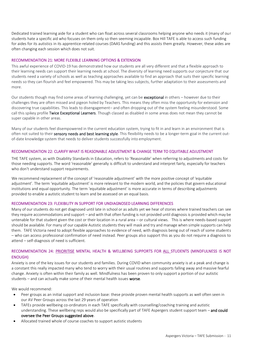Dedicated trained learning aide for a student who can float across several classrooms helping anyone who needs it (many of our students hate a specific aid who focuses on them only so then seeming incapable. Box Hill TAFE is able to access such funding for aides for its autistics in its apprentice-related courses (DAAS funding) and this assists them greatly. However, these aides are often changing each session which does not suit.

#### RECOMMENDATION 21: MORE FLEXIBLE LEARNING OPTIONS & EXTENSION

This awful experience of COVID-19 has demonstrated how our students are all very different and that a flexible approach to their learning needs can support their learning needs at school. The diversity of learning need supports our conjecture that our students need a variety of schools as well as teaching approaches available to find an approach that suits their specific learning needs so they can flourish and feel empowered. This may be taking less subjects, further adaptation to their assessments and more.

Our students though may find some areas of learning challenging, yet can be exceptional in others – however due to their challenges they are often missed and pigeon holed by Teachers. This means they often miss the opportunity for extension and discovering true capabilities. This leads to disengagement– and often dropping out of the system feeling misunderstood. Some call this spikey profile Twice Exceptional Learners. Though classed as disabled in some areas does not mean they cannot be super capable in other areas.

Many of our students feel disempowered in the current education system, trying to fit in and learn in an environment that is often not suited to their sensory needs and best learning style. This flexibility needs to be a longer-term goal in the current outof-date knowledge system that needs to deliver students successfully into employment.

#### RECOMMENDATION 22: CLARIFY WHAT IS REASONABLE ADJUSTMENT & CHANGE TERM TO EQUITABLE ADJUSTMENT

THE TAFE system, as with Disability Standards in Education, refers to 'Reasonable' when referring to adjustments and costs for those needing supports. The word 'reasonable' generally is difficult to understand and interpret fairly, especially for teachers who don't understand support requirements.

We recommend replacement of the concept of 'reasonable adjustment' with the more positive concept of 'equitable adjustment'. The term 'equitable adjustment' is more relevant to the modern world, and the policies that govern educational institutions and equal opportunity. The term 'equitable adjustment' is more accurate in terms of describing adjustments provided to enable a autistic student to learn and be assessed on an equal basis.

#### RECOMMENDATION 23: FLEXIBILITY IN SUPPORT FOR UNDIAGNOSED LEARNING DIFFERENCES

Many of our students do not get diagnosed until late in school or as adults yet we hear of stories where trained teachers can see they require accommodations and support – and with that often funding is not provided until diagnosis is provided which may be untenable for that student given the cost or their location in a rural area – or cultural views. This is where needs-based support should be available. For many of our capable Autistic students they will mask and try and manage when simple supports can help them. TAFE Victoria need to adopt flexible approaches to evidence of need, with diagnosis being out of reach of some students – who can access professional confirmation of need instead. Peer groups also support this as you do not require a diagnosis to attend – self-diagnosis of need is sufficient.

#### RECOMMENDATION 24: PRIORITISE MENTAL HEALTH & WELLBEING SUPPORTS FOR ALL STUDENTS (MINDFULNESS IS NOT ENOUGH)

Anxiety is one of the key issues for our students and families. During COVID when community anxiety is at a peak and change is a constant this really impacted many who tend to worry with their usual routines and supports falling away and massive fearful change. Anxiety is often within their family as well. Mindfulness has been proven to only support a portion of our autistic students – and can actually make some of their mental health issues worse.

We would recommend:

- Peer groups as an initial support and inclusion base: these provide proven mental health supports as well often seen in our AV Peer Groups across the last 29 years of operation
- TAFEs provide wellbeing co-ordinators in each TAFE specifically with counselling/coaching training and autistic understanding. These wellbeing reps would also be specifically part of TAFE Aspergers student support team - and could oversee the Peer Groups suggested above.
- Allocated trained whole of course coaches to support autistic students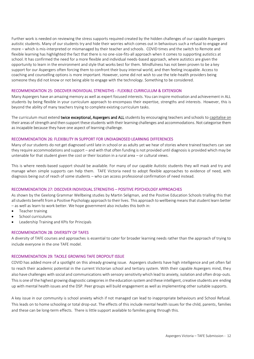Further work is needed on reviewing the stress supports required created by the hidden challenges of our capable Aspergers autistic students. Many of our students try and hide their worries which comes out in behaviours such a refusal to engage and more – which is mis-interpreted or mismanaged by their teacher and schools. COVID times and the switch to Remote and flexible learning has highlighted the fact that there is no one-size-fits-all approach when it comes to supporting autistics at school. It has confirmed the need for a more flexible and individual needs-based approach, where autistics are given the opportunity to learn in the environment and style that works best for them. Mindfulness has not been proven to be a key support for our Aspergers often forcing them to confront their busy internal world, and then feeling incapable. Access to coaching and counselling options is more important. However, some did not wish to use the tele-health providers being someone they did not know or not being able to engage with the technology. Something to be considered.

#### RECOMMENDATION 25: DISCOVER INDIVIDUAL STRENGTHS - FLEXIBLE CURRICULUM & EXTENSION

Many Aspergers have an amazing memory as well as expert focused interests. You can inspire motivation and achievement in ALL students by being flexible in your curriculum approach to encompass their expertise, strengths and interests. However, this is beyond the ability of many teachers trying to complete existing curriculum tasks.

The curriculum must extend twice exceptional, Aspergers and ALL students by encouraging teachers and schools to capitalise on their areas of strength and then support these students with their learning challenges and accommodations. Not categorise them as incapable because they have one aspect of learning challenge.

#### RECOMMENDATION 26: FLEXIBILITY IN SUPPORT FOR UNDIAGNOSED LEARNING DIFFERENCES

Many of our students do not get diagnosed until late in school or as adults yet we hear of stories where trained teachers can see they require accommodations and support – and with that often funding is not provided until diagnosis is provided which may be untenable for that student given the cost or their location in a rural area – or cultural views.

This is where needs-based support should be available. For many of our capable Autistic students they will mask and try and manage when simple supports can help them. TAFE Victoria need to adopt flexible approaches to evidence of need, with diagnosis being out of reach of some students – who can access professional confirmation of need instead.

#### RECOMMENDATION 27: DISCOVER INDIVIDUAL STRENGTHS – POSITIVE PSYCHOLOGY APPROACHES

As shown by the Geelong Grammar Wellbeing studies by Martin Seligman, and the Positive Education Schools trialling this that all students benefit from a Positive Psychology approach to their lives. This approach to wellbeing means that student learn better – as well as learn to work better. We hope government also includes this both in:

- Teacher training
- School curriculums
- Leadership Training and KPIs for Principals

#### RECOMMENDATION 28: DIVERSITY OF TAFES

A diversity of TAFE courses and approaches is essential to cater for broader learning needs rather than the approach of trying to include everyone in the one TAFE model.

#### RECOMMENDATION 29: TACKLE GROWING TAFE DROPOUT ISSUE

COVID has added more of a spotlight on this already growing issue. Aspergers students have high intelligence and yet often fail to reach their academic potential in the current Victorian school and tertiary system. With their capable Aspergers mind, they also have challenges with social and communications with sensory sensitivity which lead to anxiety, isolation and often drop-outs. This is one of the highest growing diagnostic categories in the education system and these intelligent, creative students are ending up with mental health issues and the DSP. Peer groups will build engagement as well as implementing other suitable supports.

A key issue in our community is school anxiety which if not managed can lead to inappropriate behaviours and School Refusal. This leads on to home schooling or total drop-out. The effects of this include mental health issues for the child, parents, families and these can be long-term effects. There is little support available to families going through this.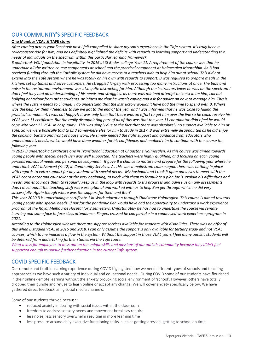## OUR COMMUNITY'S SPECIFIC FEEDBACK

#### **One Member VCAL & TAFE story:**

*After coming across your Facebook post I felt compelled to share my son's experience in the Tafe system. It's truly been a rollercoaster ride for him, and has definitely highlighted the deficits with regards to learning support and understanding the needs of individuals on the spectrum within this particular learning framework.*

*B undertook VCal foundation in hospitality in 2016 at St Bedes college-Year 11. A requirement of the course was that he undertake all the written course components at school and the practical component at Holmesglen Moorabbin. As B had received funding through the Catholic system he did have access to a teachers aide to help him out at school. This did not extend into the Tafe system where he was totally on his own with regards to support. B was required to prepare meals in the kitchen, set up tables and serve customers. He struggled largely with processing too many instructions at once. The buzz and noise in the restaurant environment was also quite distracting for him. Although the instructors knew he was on the spectrum I don't feel they had an understanding of his needs and struggles, as there was minimal attempt to check in on him, call out bullying behaviour from other students, or inform me that he wasn't coping and ask for advice on how to manage him. This is where the system needs to change. I do understand that the instructors wouldn't have had the time to spend with B. Where was the help for them? Needless to say we got to the end of the year and I was informed that he was close to failing the practical component. I was not happy!! It was only then that there was an effort to get him over the line so he could receive his VCAL year 11 certificate. But the really disappointing part of all of this was that the year 11 coordinator didn't feel he would cope with year 12 VCAL in hospitality. This was simply due to the fact that there was absolutely no support available to him at Tafe. So we were basically told to find somewhere else for him to study in 2017. B was extremely disappointed as he did enjoy the cooking, barista and front of house work. He simply needed the right support and guidance from educators who understood his needs, which would have done wonders for his confidence, and enabled him to continue with the course the following year.*

*In 2017 B undertook a Certificate one in Transitional Education at Chadstone Holmesglen. As this course was aimed towards young people with special needs Ben was well supported. The teachers were highly qualified, and focused on each young persons individual needs and personal development. It gave B a chance to mature and prepare for the following year where he undertook VCAL advanced (Yr 12) in Community Services. As this was a mainstram course again there was nothing in place with regards to extra support for any student with special needs. My husband and I took it upon ourselves to meet with the VCAL coordinator and counsellor at the very beginning, to work with them to formulate a plan for B, explain his difficulties and needs, and encourage them to regularly keep us in the loop with regards to B's progress and advise us on any assessments due. I must admit the teaching staff were exceptional and worked with us to help Ben get through which he did very successfully. Again though where was the support for them and Ben?*

*This year 2020 B is undertaking a certificate 1 in Work education through Chadstone Holmesglen. This course is aimed towards young people with special needs. If not for the pandemic Ben would have had the opportunity to undertake a work experience program at the Royal Melbourne Hosptal for 3 semesters. Unfortunately he has had to undertake the course via remote learning and some face to face class attendance. Fingers crossed he can partake in a condensed work experience program in 2021.*

*According to the Holmesglen website there are support services available for students with disabilities. There was no offer of this when B studied VCAL in 2016 and 2018. I can only assume the support is only available for tertiary study and not VCAL courses, which to me indicates a flaw in the system. Without the support in those VCAL years I feel many autistic students will be deterred from undertaking further studies via the Tafe route.* 

*What a loss for employers to miss out on the unique skills and passions of our autistic community because they didn't feel supported enough to pursue further education in the current Tafe system.*

### COVID SPECIFIC FEEDBACK

Our remote and flexible learning experience during COVID highlighted how we need different types of schools and teaching approaches as we have such a variety of individual and educational needs. During COVID some of our students have flourished in their online-remote learning without the anxiety provoking social environment of 'school'. However, others have totally dropped their bundle and refuse to learn online or accept any change. We will cover anxiety specifically below. We have gathered direct feedback using social media channels.

Some of our students thrived because:

- reduced anxiety in dealing with social issues within the classroom
- freedom to address sensory needs and movement breaks as require
- less noise, less sensory overwhelm resulting in more learning time
- less pressure around daily executive functioning tasks, such as getting dressed, getting to school on time.